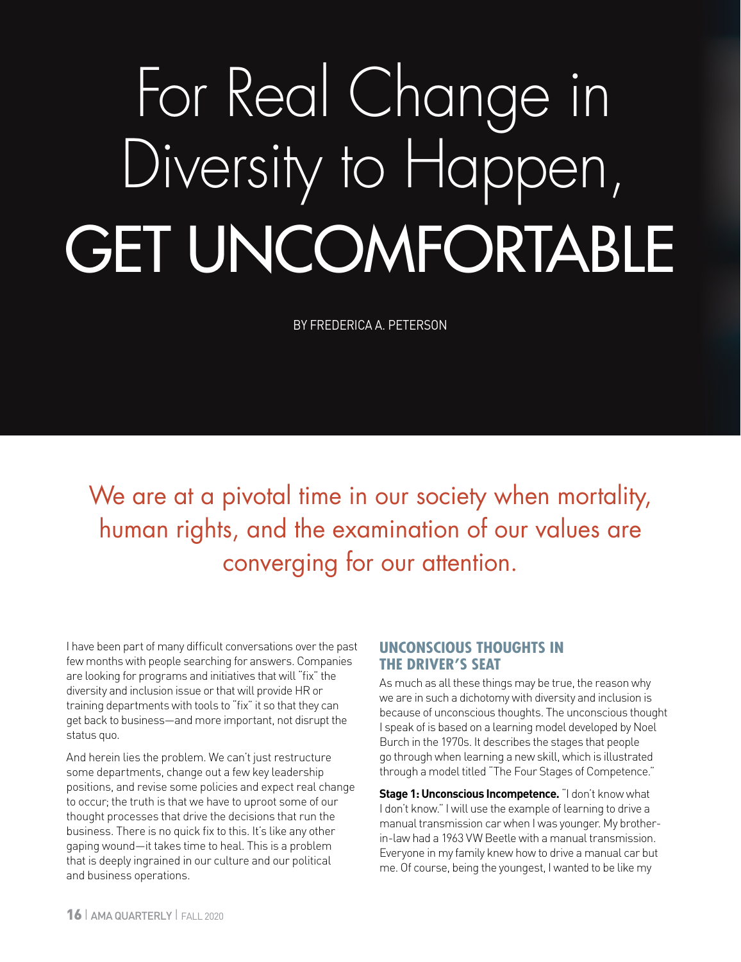## For Real Change in Diversity to Happen, GET UNCOMFORTABLE

BY FREDERICA A. PETERSON

We are at a pivotal time in our society when mortality, human rights, and the examination of our values are converging for our attention.

I have been part of many difficult conversations over the past few months with people searching for answers. Companies are looking for programs and initiatives that will "fix" the diversity and inclusion issue or that will provide HR or training departments with tools to "fix" it so that they can get back to business—and more important, not disrupt the status quo.

And herein lies the problem. We can't just restructure some departments, change out a few key leadership positions, and revise some policies and expect real change to occur; the truth is that we have to uproot some of our thought processes that drive the decisions that run the business. There is no quick fix to this. It's like any other gaping wound—it takes time to heal. This is a problem that is deeply ingrained in our culture and our political and business operations.

## **UNCONSCIOUS THOUGHTS IN THE DRIVER'S SEAT**

As much as all these things may be true, the reason why we are in such a dichotomy with diversity and inclusion is because of unconscious thoughts. The unconscious thought I speak of is based on a learning model developed by Noel Burch in the 1970s. It describes the stages that people go through when learning a new skill, which is illustrated through a model titled "The Four Stages of Competence."

**Stage 1: Unconscious Incompetence.** "I don't know what I don't know." I will use the example of learning to drive a manual transmission car when I was younger. My brotherin-law had a 1963 VW Beetle with a manual transmission. Everyone in my family knew how to drive a manual car but me. Of course, being the youngest, I wanted to be like my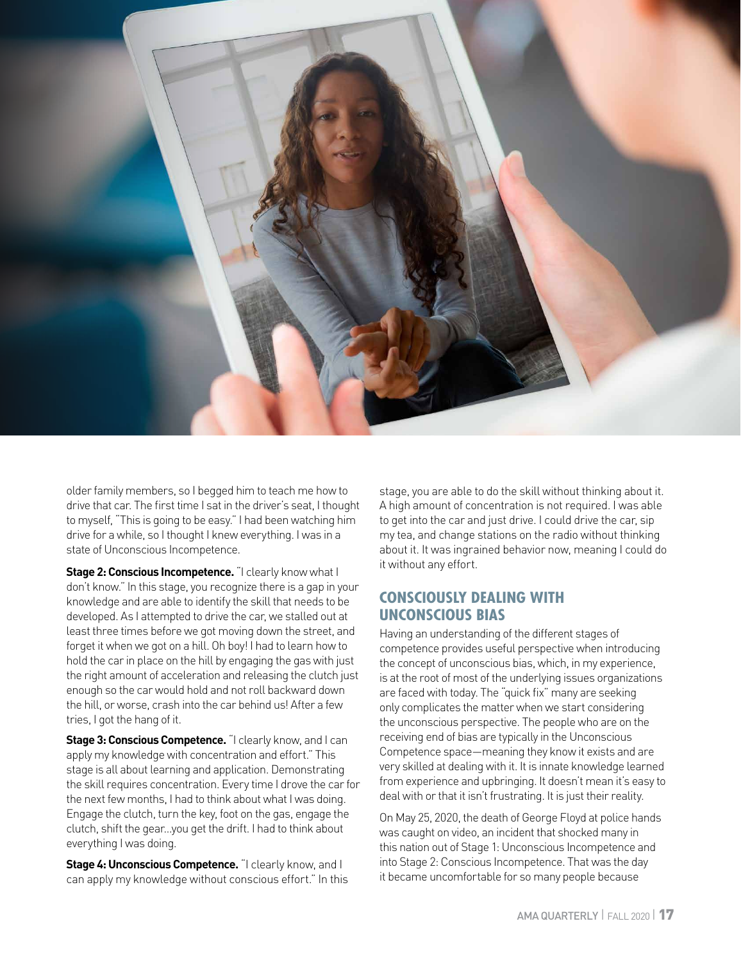

older family members, so I begged him to teach me how to drive that car. The first time I sat in the driver's seat, I thought to myself, "This is going to be easy." I had been watching him drive for a while, so I thought I knew everything. I was in a state of Unconscious Incompetence.

**Stage 2: Conscious Incompetence.** "I clearly know what I don't know." In this stage, you recognize there is a gap in your knowledge and are able to identify the skill that needs to be developed. As I attempted to drive the car, we stalled out at least three times before we got moving down the street, and forget it when we got on a hill. Oh boy! I had to learn how to hold the car in place on the hill by engaging the gas with just the right amount of acceleration and releasing the clutch just enough so the car would hold and not roll backward down the hill, or worse, crash into the car behind us! After a few tries, I got the hang of it.

**Stage 3: Conscious Competence.** "I clearly know, and I can apply my knowledge with concentration and effort." This stage is all about learning and application. Demonstrating the skill requires concentration. Every time I drove the car for the next few months, I had to think about what I was doing. Engage the clutch, turn the key, foot on the gas, engage the clutch, shift the gear…you get the drift. I had to think about everything I was doing.

**Stage 4: Unconscious Competence.** "I clearly know, and I can apply my knowledge without conscious effort." In this stage, you are able to do the skill without thinking about it. A high amount of concentration is not required. I was able to get into the car and just drive. I could drive the car, sip my tea, and change stations on the radio without thinking about it. It was ingrained behavior now, meaning I could do it without any effort.

## **CONSCIOUSLY DEALING WITH UNCONSCIOUS BIAS**

Having an understanding of the different stages of competence provides useful perspective when introducing the concept of unconscious bias, which, in my experience, is at the root of most of the underlying issues organizations are faced with today. The "quick fix" many are seeking only complicates the matter when we start considering the unconscious perspective. The people who are on the receiving end of bias are typically in the Unconscious Competence space—meaning they know it exists and are very skilled at dealing with it. It is innate knowledge learned from experience and upbringing. It doesn't mean it's easy to deal with or that it isn't frustrating. It is just their reality.

On May 25, 2020, the death of George Floyd at police hands was caught on video, an incident that shocked many in this nation out of Stage 1: Unconscious Incompetence and into Stage 2: Conscious Incompetence. That was the day it became uncomfortable for so many people because